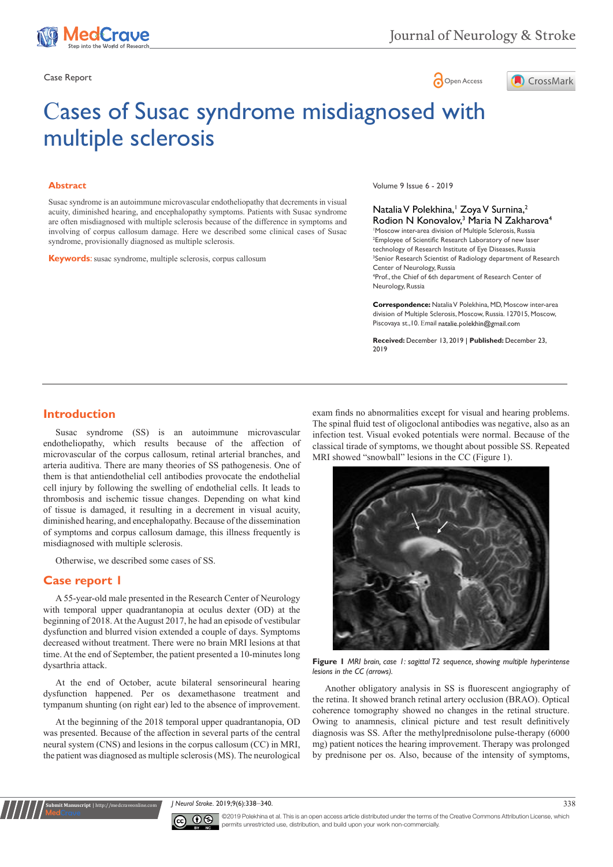

Case Report **Case Report** 



# Сases of Susac syndrome misdiagnosed with multiple sclerosis

#### **Abstract**

Susac syndrome is an autoimmune microvascular endotheliopathy that decrements in visual acuity, diminished hearing, and encephalopathy symptoms. Patients with Susac syndrome are often misdiagnosed with multiple sclerosis because of the difference in symptoms and involving of corpus callosum damage. Here we described some clinical cases of Susac syndrome, provisionally diagnosed as multiple sclerosis.

**Keywords**: susac syndrome, multiple sclerosis, corpus callosum

Volume 9 Issue 6 - 2019

Natalia V Polekhina,<sup>1</sup> Zoya V Surnina,<sup>2</sup> Rodion N Konovalov,<sup>3</sup> Maria N Zakharova<sup>4</sup> 1 Moscow inter-area division of Multiple Sclerosis, Russia 2 Employee of Scientific Research Laboratory of new laser technology of Research Institute of Eye Diseases, Russia <sup>3</sup>Senior Research Scientist of Radiology department of Research Center of Neurology, Russia 4 Prof., the Chief of 6th department of Research Center of Neurology, Russia

**Correspondence:** Natalia V Polekhina, MD, Moscow inter-area division of Multiple Sclerosis, Moscow, Russia. 127015, Moscow, Piscovaya st., 10. Email natalie.polekhin@gmail.com

**Received:** December 13, 2019 | **Published:** December 23, 2019

### **Introduction**

Susac syndrome (SS) is an autoimmune microvascular endotheliopathy, which results because of the affection of microvascular of the corpus callosum, retinal arterial branches, and arteria auditiva. There are many theories of SS pathogenesis. One of them is that antiendothelial cell antibodies provocate the endothelial cell injury by following the swelling of endothelial cells. It leads to thrombosis and ischemic tissue changes. Depending on what kind of tissue is damaged, it resulting in a decrement in visual acuity, diminished hearing, and encephalopathy. Because of the dissemination of symptoms and corpus callosum damage, this illness frequently is misdiagnosed with multiple sclerosis.

Otherwise, we described some cases of SS.

#### **Case report 1**

**Submit Manuscript** | http://medcraveonline.com

A 55-year-old male presented in the Research Center of Neurology with temporal upper quadrantanopia at oculus dexter (OD) at the beginning of 2018. At the August 2017, he had an episode of vestibular dysfunction and blurred vision extended a couple of days. Symptoms decreased without treatment. There were no brain MRI lesions at that time. At the end of September, the patient presented a 10-minutes long dysarthria attack.

At the end of October, acute bilateral sensorineural hearing dysfunction happened. Per os dexamethasone treatment and tympanum shunting (on right ear) led to the absence of improvement.

At the beginning of the 2018 temporal upper quadrantanopia, OD was presented. Because of the affection in several parts of the central neural system (CNS) and lesions in the corpus callosum (CC) in MRI, the patient was diagnosed as multiple sclerosis (MS). The neurological exam finds no abnormalities except for visual and hearing problems. The spinal fluid test of oligoclonal antibodies was negative, also as an infection test. Visual evoked potentials were normal. Because of the classical tirade of symptoms, we thought about possible SS. Repeated MRI showed "snowball" lesions in the CC (Figure 1).



**Figure 1** *MRI brain, case 1: sagittal T2 sequence, showing multiple hyperintense lesions in the CC (arrows).*

Another obligatory analysis in SS is fluorescent angiography of the retina. It showed branch retinal artery occlusion (BRAO). Optical coherence tomography showed no changes in the retinal structure. Owing to anamnesis, clinical picture and test result definitively diagnosis was SS. After the methylprednisolone pulse-therapy (6000 mg) patient notices the hearing improvement. Therapy was prolonged by prednisone per os. Also, because of the intensity of symptoms,

*J Neurol Stroke.* 2019;9(6):338‒340. 338



©2019 Polekhina et al. This is an open access article distributed under the terms of the [Creative Commons Attribution License,](https://creativecommons.org/licenses/by-nc/4.0/) which permits unrestricted use, distribution, and build upon your work non-commercially.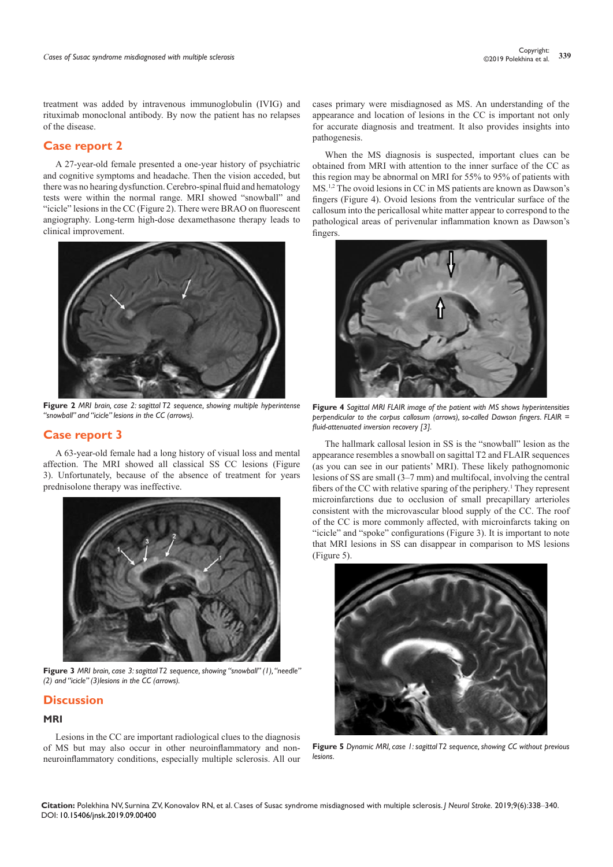treatment was added by intravenous immunoglobulin (IVIG) and rituximab monoclonal antibody. By now the patient has no relapses of the disease.

# **Case report 2**

A 27-year-old female presented a one-year history of psychiatric and cognitive symptoms and headache. Then the vision acceded, but there was no hearing dysfunction. Cerebro-spinal fluid and hematology tests were within the normal range. MRI showed "snowball" and "icicle" lesions in the CC (Figure 2). There were BRAO on fluorescent angiography. Long-term high-dose dexamethasone therapy leads to clinical improvement.



**Figure 2** *MRI brain, case 2: sagittal T2 sequence, showing multiple hyperintense "snowball" and "icicle" lesions in the CC (arrows).*

### **Case report 3**

A 63-year-old female had a long history of visual loss and mental affection. The MRI showed all classical SS CC lesions (Figure 3). Unfortunately, because of the absence of treatment for years prednisolone therapy was ineffective.



**Figure 3** *MRI brain, case 3: sagittal T2 sequence, showing "snowball" (1), "needle" (2) and "icicle" (3)lesions in the CC (arrows).*

## **Discussion**

### **MRI**

Lesions in the CC are important radiological clues to the diagnosis of MS but may also occur in other neuroinflammatory and nonneuroinflammatory conditions, especially multiple sclerosis. All our cases primary were misdiagnosed as MS. An understanding of the appearance and location of lesions in the CC is important not only for accurate diagnosis and treatment. It also provides insights into pathogenesis.

When the MS diagnosis is suspected, important clues can be obtained from MRI with attention to the inner surface of the CC as this region may be abnormal on MRI for 55% to 95% of patients with MS.1,2 The ovoid lesions in CC in MS patients are known as Dawson's fingers (Figure 4). Ovoid lesions from the ventricular surface of the callosum into the pericallosal white matter appear to correspond to the pathological areas of perivenular inflammation known as Dawson's fingers.



**Figure 4** *Sagittal MRI FLAIR image of the patient with MS shows hyperintensities perpendicular to the corpus callosum (arrows), so-called Dawson fingers. FLAIR = fluid-attenuated inversion recovery [3].*

The hallmark callosal lesion in SS is the "snowball" lesion as the appearance resembles a snowball on sagittal T2 and FLAIR sequences (as you can see in our patients' MRI). These likely pathognomonic lesions of SS are small (3–7 mm) and multifocal, involving the central fibers of the CC with relative sparing of the periphery.<sup>1</sup> They represent microinfarctions due to occlusion of small precapillary arterioles consistent with the microvascular blood supply of the CC. The roof of the CC is more commonly affected, with microinfarcts taking on "icicle" and "spoke" configurations (Figure 3). It is important to note that MRI lesions in SS can disappear in comparison to MS lesions (Figure 5).



**Figure 5** *Dynamic MRI, case 1: sagittal T2 sequence, showing CC without previous lesions.*

**Citation:** Polekhina NV, Surnina ZV, Konovalov RN, et al. Сases of Susac syndrome misdiagnosed with multiple sclerosis. *J Neurol Stroke.* 2019;9(6):338‒340. DOI: [10.15406/jnsk.2019.09.00400](https://doi.org/10.15406/jnsk.2019.09.00400)